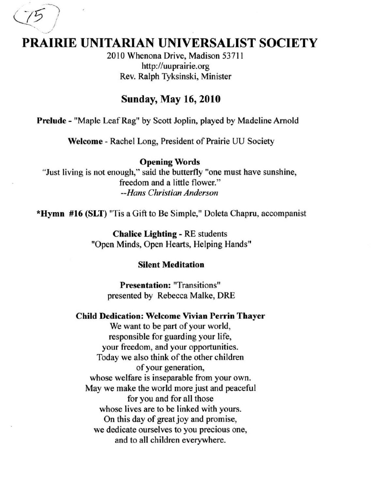# **PRAIRIE UNITARIAN UNIVERSALIST SOCIETY**

2010 Whenona Drive, Madison 53711 http://uuprairie.org Rev. Ralph Tyksinski, Minister

# **Sunday, May 16,2010**

**Prelude -** "Maple Leaf Rag" by Scott Joplin, played by Madeline Arnold

**Welcome -** Rachel Long, President of Prairie UU Society

#### **Opening Words**

"Just living is not enough," said the butterfly "one must have sunshine, freedom and a little flower." *--Hans Christian Anderson* 

**"Hymn #16 (SLT)** "Tis a Gift to Be Simple," Doleta Chapru, accompanist

**Chalice Lighting -** RE students "Open Minds, Open Hearts, Helping Hands"

#### **Silent Meditation**

**Presentation: "Transitions"**  presented by Rebecca Malke, DRE

#### **Child Dedication: Welcome Vivian Perrin Thayer**

We want to be part of your world, responsible for guarding your life, your freedom, and your opportunities. Today we also think of the other children of your generation, whose welfare is inseparable from your own. May we make the world more just and peaceful for you and for all those whose lives are to be linked with yours. On this day of great joy and promise, we dedicate ourselves to you precious one, and to all children everywhere.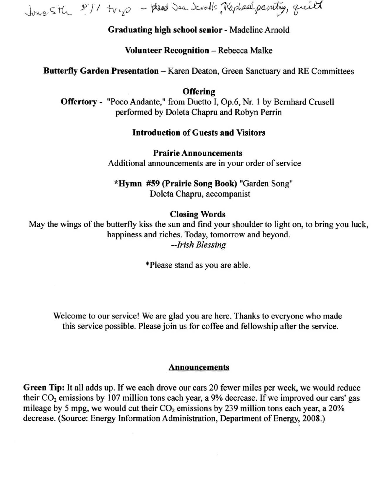June Sthe 211 trip - plead Jea Scools (Raphael painting, quite

Graduating bigb scbool senior - Madeline Arnold

#### Volunteer Recognition - Rebecca Malke

Butterfly Garden Presentation - Karen Deaton, Green Sanctuary and RE Committees

**Offering** 

Offertory - "Poco Andante," from Duetto I, Op.6, Nr. I by Bernhard Crusell performed by Doleta Chapru and Robyn Perrin

#### Introduction of Guests and Visitors

Prairie Announcements Additional announcements are in your order of service

\*Hymn #59 (prairie Song Book) "Garden Song" Doleta Chapru, accompanist

## Closing Words

May the wings of the butterfly kiss the sun and find your shoulder to light on, to bring you luck, happiness and riches. Today, tomorrow and beyond. *--Irish Blessing* 

'Please stand as you are able.

Welcome to our service! We are glad you are here. Thanks to everyone who made this service possible. Please join us for coffee and fellowship after the service.

#### **Announcements**

Green Tip: It all adds up. If we each drove our cars 20 fewer miles per week, we would reduce their  $CO<sub>2</sub>$  emissions by 107 million tons each year, a 9% decrease. If we improved our cars' gas mileage by 5 mpg, we would cut their  $CO<sub>2</sub>$  emissions by 239 million tons each year, a 20% decrease. (Source: Energy Information Administration, Department of Energy, 2008.)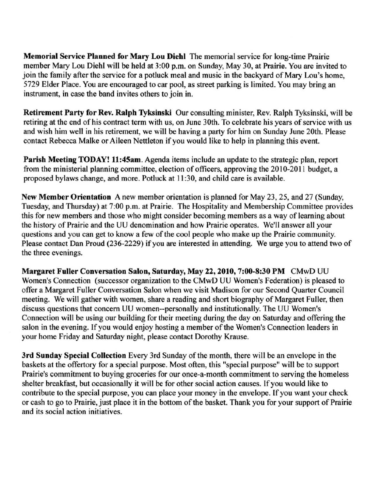Memorial Service Planned for Mary Lou Diehl The memorial service for long-time Prairie member Mary Lou Diehl will be held at 3:00 p.m. on Sunday, May 30, at Prairie. You are invited to join the family after the service for a potluck meal and music in the backyard of Mary Lou's home, 5729 Elder Place. You are encouraged to car pool, as street parking is limited. You may bring an **instrument, in case the band invites others to join in.** 

Retirement Party for Rev. Ralph Tyksinski Our consulting minister, Rev. Ralph Tyksinski, will be retiring at the end of his contract term with us, on June 30th. To celebrate his years of service with us and wish him well in his retirement, we will be having a party for him on Sunday June 20th. Please contact Rebecca Malke or Aileen Nettleton if you would like to help in planning this event.

Parish Meeting TODAY! 11:4Sam. Agenda items include an update to the strategic plan, report from the ministerial planning committee, election of officers, approving the 2010-2011 budget, a proposed bylaws change, and more. Potluck at II :30, and child care is available.

New Member Orientation A new member orientation is planned for May 23, 25, and 27 (Sunday, Tuesday, and Thursday) at 7:00 p.m. at Prairie. The Hospitality and Membership Committee provides this for new members and those who might consider becoming members as a way of learning about the history of Prairie and the UU denomination and how Prairie operates. We'll answer all your questions and you can get to know a few of the cool people who make up the Prairie community. Please contact Dan Proud (236-2229) if you are interested in attending. We urge you to attend two of **the three evenings.** 

Margaret Fuller Conversation Salon, Saturday, May 22, 2010, 7:00-8:30 PM CMwD UU Women's Connection (successor organization to the CMwD UU Women's Federation) is pleased to offer a Margaret Fuller Conversation Salon when we visit Madison for our Second Quarter Council meeting. We will gather with women, share a reading and short biography of Margaret Fuller, then discuss questions that concern UU women--personally and institutionally. The UU Women's Connection will be using our building for their meeting during the day on Saturday and offering the salon in the evening. If you would enjoy hosting a member of the Women's Connection leaders in your home Friday and Saturday night, please contact Dorothy Krause.

3rd Sunday Special Collection Every 3rd Sunday of the month, there will be an envelope in the baskets at the offertory for a special purpose. Most often, this "special purpose" will be to support Prairie's commitment to buying groceries for our once-a-month commitment to serving the homeless shelter breakfast, but occasionally it will be for other social action causes. If you would like to contribute to the special purpose, you can place your money in the envelope. If you want your check or cash to go to Prairie, just place it in the bottom of the basket. Thank you for your support of Prairie **and its social action initiatives.**